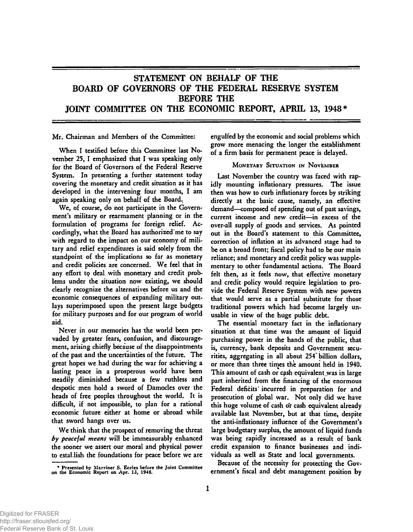# STATEMENT ON BEHALF OF THE BOARD OF GOVERNORS OF THE FEDERAL RESERVE SYSTEM BEFORE THE JOINT COMMITTEE ON THE ECONOMIC REPORT, APRIL 13, 1948\*

**Mr. Chairman and Members of the Committee:** 

**When I testified before this Committee last November 25, I emphasized that I was speaking only for the Board of Governors of the Federal Reserve System. In presenting a further statement today covering the monetary and credit situation as it has developed in the intervening four months, I am again speaking only on behalf of the Board.** 

**We, of course, do not participate in the Government's military or rearmament planning or in the formulation of programs for foreign relief. Accordingly, what the Board has authorized'me to say with regard to the impact on our economy of military and relief expenditures is said solely from the standpoint of the implications so far as monetary and credit policies are concerned. We feel that in any effort tp deal with monetary and credit problems under the situation now existing, we should clearly recognize the alternatives before us and the economic consequences of expanding military outlays superimposed upon the present large budgets for military purposes and for our program of world aid.** 

**Never in our memories has the world been pervaded by greater fears, confusion, and discouragement, arising chiefly because of the disappointments of the past and the uncertainties of the future. The great hopes we had during the war for achieving a lasting peace in a prosperous world have been steadily diminished because a few ruthless and despotic men hold a sword of Damocles over the heads of free peoples throughout the world. It is difficult, if not impossible, to plan for a rational economic future either at home or abroad while that sword hangs over us.** 

**We think that the prospect of removing the threat**  *by peaceful means* **will be immeasurably enhanced the sooner we assert our moral and physical power to establish the foundations for peace before we are**  **engulfed by the economic and social problems which grow more menacing the longer the establishment of a firm basis for permanent peace is delayed.** 

## **MONETARY SITUATION IN NOVEMBER**

**Last November the country was faced with rapidly mounting inflationary pressures. The issue then was how to curb inflationary forces by striking directly at the basic cause, namely, an effective demand—composed of spending out of past savings, current income and new credit—in excess of the over-all supply of goods and services. As pointed out in the Board's statement to this Committee, correction of inflation at its advanced stage had to be on a broad front; fiscal policy had to be our main reliance; and monetary and credit policy was supplementary to other fundamental actions. The Board felt then, as it feels now, that effective monetary and credit policy would require legislation to provide the Federal Reserve System with new powers that would serve as a partial substitute for those traditional powers which had become largely unusable in view of the huge public debt.** 

**The essential monetary fact in the inflationary situation at that time was the amount of liquid purchasing power in the hands of the public, that is, currency, bank deposits and Government securities, aggregating in all about 254\* billion dollars, or more than three times the amount held in 1940. This amount of cash or qish equivalent was in large part inherited from the financing of the enormous Federal deficits' incurred in preparation for and prosecution of global war. Not only did we have this huge volume of cash or cash equivalent already available last November, but at that time, despite the anti-inflationary influence of the Government's large budgetary surplus, the amount of liquid funds was being rapidly increased as a result of bank credit expansion to finance businesses and individuals as well as State and local governments.** 

**Because of the necessity for protecting the Government's fiscal and debt management position by** 

**<sup>\*</sup> Presented by Marriner S. Eccles before the Joint Committee on the Economic Report on Apr. 13, 1948.**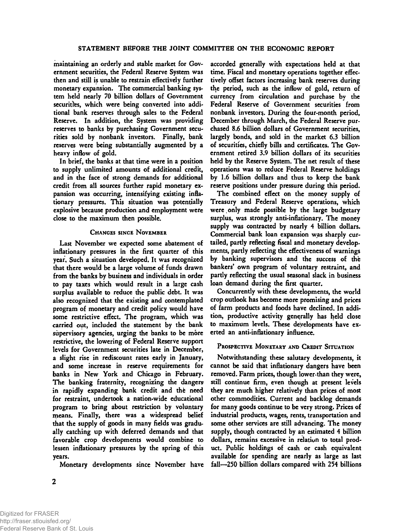**maintaining an orderly and stable market for Government securities, the Federal Reserve System was then and still is unable to restrain effectively further monetary expansion. The commercial banking system held nearly 70 billion dollars of Government securities, which were being converted into additional bank reserves through sales to the Federal Reserve. In addition, the System was providing reserves to banks by purchasing Government securities sold by nonbank investors. Finally, bank reserves were being substantially augmented by a heavy inflow of gold.** 

**In brief, the banks at that time were in a position to supply unlimited amounts of additional credit, and in the face of strong demands for additional credit from all sources further rapid monetary expansion was occurring, intensifying existing inflationary pressures. This situation was potentially explosive because production and employment were close to the maximum then possible.** 

#### **CHANGES SINCE NOVEMBER**

**Last November we expected some abatement of inflationary pressures in the first quarter of this year. Such a situation developed. It was recognized that there would be a large volume of funds drawn from the banks by business and individuals in order to pay taxes which would result in a large cash surplus available to reduce the public debt. It was also recognized that the existing and contemplated program of monetary and credit policy would have some restrictive effect. The program, which was carried out, included the statement by the bank supervisory agencies, urging the banks to be more restrictive, the lowering of Federal Reserve support levels for Government securities late in December, a slight rise in rediscount rates early in January, and some increase in reserve requirements for banks in New York and Chicago in February. The banking fraternity, recognizing the dangers**  in rapidly expanding bank credit and the need **for restraint, undertook a nation-wide educational program to bring about restriction by voluntary means. Finally, there was a widespread belief that the supply of goods in many fields was gradually catching up with deferred demands and that favorable crop developments would combine to lessen inflationary pressures by the spring of this years.** 

**Monetary developments since November have** 

**accorded generally with expectations held at that time. Fiscal and monetary operations together effectively offset factors increasing bank reserves during the period, such as the inflow of gold, return of currency from circulation and purchase by the Federal Reserve of Government securities from nonbank investor^. During the four-month period, December through March, the Federal Reserve purchased 8.6 billion dollars of Government securities, largely bonds, and sold in the market 6.3 billion of securities, chiefly bills and certificates. The Government retired 3.9 billion dollars of its securities held by the Reserve System. The net result of these operations was to reduce Federal Reserve holdings by 1.6 billion dollars and thus to keep the bank reserve positions under pressure during this period.** 

**The combined effect on the money supply of Treasury and Federal Reserve operations, which were.only made possible by the large budgetary surplus, was strongly anti-inflationary. The money supply was contracted by nearly 4 billion dollars. Commercial bank loan expansion was sharply curtailed, partly reflecting fiscal and monetary developments, partly reflecting the effectiveness of warnings by banking supervisors and the success of the bankers' own program of voluntary restraint, and partly reflecting the usual seasonal slack in business loan demand during the first quarter.** 

**Concurrently with these developments, the world crop outlook has become more promising and prices of farm products and foods have declined. In addition, productive activity generally has held close to maximum levels. These developments have exerted an anti-inflationary influence.** 

#### **PROSPECTIVE MONETARY AND CREDIT SITUATION**

**Notwithstanding these salutary developments, it cannot be said that inflationary dangers have been**  removed. Farm prices, though lower than they were, **still continue firm, even though at present levels they are much higher relatively than prices of most other commodities. Current and backlog demands for many goods continue to be very strong. Prices of industrial products, wages, rents, transportation and some other services are still advancing. The money supply, though contracted by an estimated 4 billion dollars, remains excessive in relation to total product. Public holdings of cash or cash equivalent available for spending are nearly as large as last fall—250 billion dollars compared with 254 billions**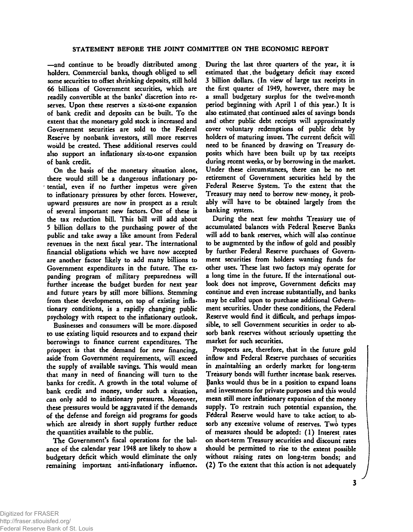**—and continue to be broadly distributed among holders. Commercial banks, though obliged to sell some securities to offset shrinking deposits, still hold 66 billions of Government securities, which are readily convertible at the banks' discretion into reserves. Upon these reserves a six-to-one expansion of bank credit and deposits can be built. To the extent that the monetary gold stock is increased and Government securities are sold to the Federal Reserve by nonbank investors, still more reserves would be created. These additional reserves could also support an inflationary six-to-one expansion of bank credit.** 

**On the basis of the monetary situation alone, there would still be a dangerous inflationary potential, even if no further impetus were given to inflationary pressures by other forces. However, upward pressures are now in prospect as a result of several important new factors. One of these is the tax reduction bill. This bill will add about 5 billion dollars to the purchasing power of the public and take away a like amount from Federal revenues in the next fiscal year. The international financial obligations which we have now accepted are another factor likely to add many billions to Government expenditures in the future. The expanding program of military preparedness will further increase the budget burden for next year and future years by still more billions. Stemming from these developments, on top of existing inflationary conditions, is a rapidly changing public psychology with respect to the inflationary outlook.** 

**Businesses and consumers will be more.disposed to use existing liquid resources and to expand their borrowings to finance current expenditures. The prospect is that the demand for new financing, aside from Government requirements, will exceed the supply of available savings. This would mean that many in need of financing will turn to the banks for credit. A growth in the total volume of bank credit and money, under such a situation, can only add to inflationary pressures. Moreover, these pressures would be aggravated if the demands of the defense and foreign aid programs for goods which are already in short supply further reduce the quantities available to the public.** 

**The Government's fiscal operations for the balance of the calendar year 1948 are likely to show a budgetary deficit which would eliminate the only**  remaining important anti-inflationary influence. **During the last three quarters of the year, it is**  estimated that the budgetary deficit may exceed **3 billion dollars. (In view of large tax receipts in the first quarter of 1949, however, there may be a small budgetary surplus for the twelve-month period beginning with April 1 of this year.) It is also estimated, that continued sales of savings bonds and other public debt receipts will approximately cover voluntary redemptions of public debt by holders of maturing issues. The current deficit will need to be financed by drawing on Treasury deposits which have been built up by tax receipts during recent weeks, or by borrowing in the market. Under these circumstances, there can be no net retirement of Government securities held by the Federal Reserve System. To the extent that the Treasury may need to borrow new money, it probably will have to be obtained largely from the banking system.** 

**During the next few months Treasury use of accumulated balances with Federal Reserve Banks will add to bank reserves, which will also continue to be augmented by the inflow of gold and possibly by further Federal Reserve purchases of Government securities from holders wanting funds for other uses. These last two factors may operate for a long time in the future. If the international outlook does not improve, Government deficits may continue and even increase substantially, and banks may be called upon to purchase additional Gdvernment securities. Under these conditions, the Federal Reserve would find it difficult, and perhaps impossible, to sell Government securities in order to absorb bank reserves without seriously upsetting the market for such securities.** 

**Prospects are, therefore, that in the future gold inflow and Federal Reserve purchases of securities in maintaining an orderly market for long-term Treasury bonds will further increase bank reserves, panks would thus be in a position to expand loans and investments for private purposes and this would mean still more inflationary expansion of the money supply. To restrain such potential expansion, the.**  Federal Reserve would have to take action to absorb any excessive volume of reserves. Two types **of measures should be adopted: (1) Interest rates on short-term Treasury securities and discount rates should be permitted to rise to the extent possible without raising rates on long-term bonds; and (2) To the extent that this action is not adequately**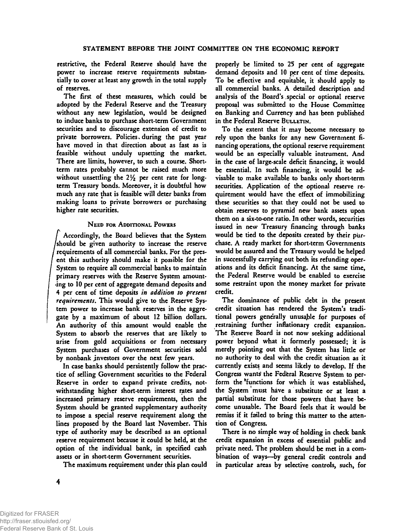**restrictive, the Federal Reserve should have the power to increase reserve requirements substantially to cover at least any growth in the total supply of reserves.** 

**The first of these measures, which could be adopted by the Federal Reserve and the Treasury without any new legislation, would be designed to induce banks to purchase short-term Government securities and to discourage extension of credit to**  private borrowers. Policies during the past year **have moved in that direction about as fast as is feasible without unduly upsetting the market. There are limits, however, to such a course. Shortterm rates probably cannot be raised much more**  without unsettling the 2<sup>1</sup>/<sub>2</sub> per cent rate for long**term Treasury bonds. Moreover, it is doubtful how much any rate that is feasible will deter banks from making loans to private borrowers or purchasing higher rate securities.** 

#### **NEED FOR ADDITIONAL POWERS**

**/ Accordingly, the Board believes that the System /should be given authority to increase the reserve requirements of all commercial banks. For the present this authority should make it possible for the System to require all commercial banks to maintain primary reserves with the Reserve System amounting to 10 per cent of aggregate demand deposits and 4 per cent of time deposits** *in addition to present requirements***. This would give to the Reserve System power to increase bank reserves in the aggregate by a maximum of about 12 billion dollars. An authority of this amount would enable the**  System to absorb the reserves that are likely to **arise from gold acquisitions or from necessary System purchases of Government securities sold by nonbank investors over the next few years.** 

**In case banks should persistently follow the practice of selling Government securities to the Federal Reserve in order to expand private credits, notwithstanding higher short-term interest rates and increased primary reserve requirements, then the System should be granted supplementary authority to impose a special reserve requirement along the lines proposed by the Board last November. This type of authority may be described as an optional reserve requirement because it could be held, at the option of the individual bank, in specified cash assets or in short-term Government securities.** 

**The maximum requirement under this plan could** 

**properly be limited to 25 per cent of aggregate demand deposits and 10 per cent of time deposits. To be effective and equitable, it should apply to all commercial banks. A detailed description and analysis of the Board's .special or optional reserve proposal was submitted to the House Committee on Banking and Currency and has been published in the Federal Reserve BULLETIN.** 

**To the extent that it may become necessary to rely upon the banks for any new Government financing operations, the optional reserve requirement would be an especially valuable instrument. And in the case of large-scale deficit financing, it would be essential. In such financing, it would be advisable to make available to banks only short-term securities. Application of the optional reserve requirement would have the effect of immobilizing these securities so that they could not be used to obtain reserves to pyramid new bank assets upon them on a six-to-one ratio. In other words, securities**  issued in new Treasury financing through banks **would be tied to the deposits created by their purchase. A ready market for short-term Governments would be assured and the Treasury would be helped in successfully carrying out both its refunding operations and its deficit financing. At the same time, the Federal Reserve would be enabled to exercise some restraint upon the money market for private credit.** 

**The dominance of public debt in the present credit situation has rendered the System's traditional powers generally unusajble for purposes of restraining further inflationary credit expansion. The Reserve Board is not now seeking additional power beyond what it formerly possessed; it is merely pointing out that the System has little or no authority to deal with the credit situation as it currently exists and seems likely to develop. If the Congress wants! the Federal Reserve System to perform the 'functions for which it was established, the System must have a substitute or at least a partial substitute for those powers that have become unusable. The Board feels that it would be remiss if it failed to bring this matter to the attention of Congress.** 

**There is no simple way of holding in check bank credit expansion in excess of essential public and private need. The problem should be met in a combination of ways—by general credit controls and in particular areas by selective controls, such, for**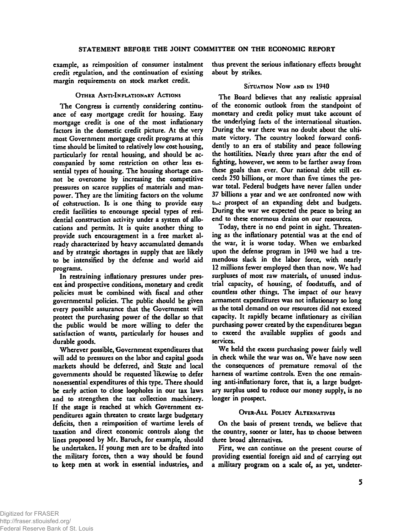**example, as reimposition of consumer instalment credit regulation, and the continuation of existing margin requirements on stock market credit.** 

**OTHER ANTI-INFLATIONARY ACTIONS** 

**The Congress is currently considering continuance of easy mortgage credit for housing. Easy mortgage credit is one of the most inflationary factors in the domestic credit picture. At the very most Government mortgage credit programs at this time should be limited to relatively low cost housing, particularly for rental housing, and should be accompanied by some restriction on other less essential types of housing. The housing shortage cannot be overcome by increasing the competitive pressures on scarce supplies of materials and manpower. They are the limiting factors on the volume of cohstruction. It is one thing to provide easy credit facilities to encourage special types of residential construction activity under a system of allocations and permits. It is quite another thing to provide such encouragement in a free market already characterized by heavy accumulated demands and by strategic shortages in supply that are likely to be intensified by the defense and world aid programs.** 

**In restraining inflationary pressures under present and prospective conditions, monetary and credit policies must be combined with fiscal and other governmental policies. The public should be given every possible assurance that the Government will protect the purchasing power of the dollar so that the public would be more willing to defer the satisfaction of wants, particularly for houses and durable goods.** 

**Wherever possible, Government expenditures that will add to pressures on the labor and capital goods markets should be deferred, and State and local governments should be requested likewise to defer nonessential expenditures of this type. There should be early action to close loopholes in our tax laws and to strengthen the tax collection machinery. If the stage is reached at which Government expenditures again threaten to create large budgetary deficits, then a reimposition of wartime levels of taxation and direct economic controls along the lines proposed by Mr. Baruch, for example, should be undertaken. If young men are to be drafted into the military forces, then a way should be found to keep men at work in essential industries, and**  **thus prevent the serious inflationary effects brought about by strikes.** 

## SITUATION NOW AND IN 1940

**The Board believes that any realistic appraisal of the economic outlook from the standpoint of monetary and credit policy must take account of the underlying facts of the international situation. During the war there was no doubt about the ultimate victory. The country looked forward confidently to an era of stability and peace following the hostilities. Nearly three years after the end of fighting, however, we seem to be farther away from these goals than ever. Our national debt still exceeds 250 billions, or more than five times the prewar total. Federal budgets have never fallen under 37 billions a year and we are confronted now with**  the prospect of an expanding debt and budgets. **During the war we expected the peace to bring an end to these enormous drains on our resources.** 

**Today, there is no end point in sight. Threatening as the inflationary potential was at the end of the war, it is worse today. When we embarked upon the defense program in 1940 we had a tremendous slack in the labor force, with nearly 12 millions fewer employed then than now. We had surpluses of most raw materials, of unused industrial capacity, of housing, of foodstuffs, and of countless other things. The impact of our heavy armament expenditures was not inflationary so long as the total demand on our resources did not exceed capacity\* It rapidly became inflationary as civilian purchasing power created by the expenditures began to exceed the available supplies of goods and services.** 

**We held the excess purchasing power fairly well in check while the war was on. We have now seen the consequences of premature removal of the harness of wartime controls. Even the one remaining anti-inflationary force, that is, a large budget**ary surplus used to reduce our money supply, is no **longer in prospect.** 

# **OVER-ALL POLICY ALTERNATIVES**

**On the basis of present trends, we believe that the country, sooner or later, has to choose between three broad alternatives.** 

**First, we can continue on the present course of providing essential foreign aid and of carrying ojit**  a military program on a scale of, as yet, undeter-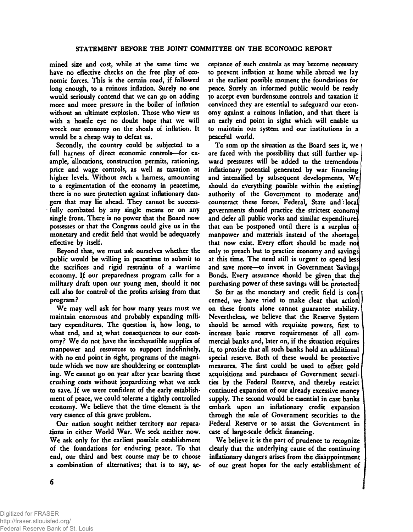**mined size and cost, while at the same time we have no effective checks on the free play of economic forces. This is the certain road, if followed long enough, to a ruinous inflation. Surely no one would seriously contend that we can go on adding more and more pressure in the boiler of inflation without an ultimate explosion. Those who view us with a hostile eye no doubt hope that we will wreck our economy on the shoals of inflation. It would be a cheap way to defeat us.** 

**Secondly, the country could be subjected to a full harness of direct economic controls—for example, allocations, construction permits, rationing, price and wage controls, as well as taxation at higher levels. Without such a harness, amounting to a regimentation of the economy in peacetime,**  there is no sure protection against inflationary dan**gers that may lie ahead. They cannot be successfully combated by any single means or on any single front. There is no power that the Board now possesses or that the Congress could give us in the monetary and credit field that would be adequately effective by itself.** 

**Beyond that, we must ask ourselves whether the public would be willing in peacetime to submit to the sacrifices and rigid restraints of a wartime economy. If our preparedness program calls for a military draft upon our young men, should it not call also for control of the profits arising from that program?** 

**We may well ask for how many years must we maintain enormous and probably expanding military expenditures. The question is, how long, to**  what end, and at what consequences to our econ**omy? We do not have the inexhaustible supplies of manpower and resources to support indefinitely, with no end point in sight, programs of the magnitude which we now are shouldering or contemplate ing. We cannot go on year after year bearing these crushing costs without jeopardizing what we seek to save. If we were confident of the early establishment of peace, we could tolerate a tightly controlled economy. We believe that the time element is the very essence of this grave problem.** 

**Our nation sought neither territory nor reparations in either World War. We seek neither now. We ask only for the earliest possible establishment of the foundations for enduring peace. To that end, our third and best course may be to choose**  a combination of alternatives; that is to say, ac**ceptance of such controls as may become necessary to prevent inflation at home while abroad we lay at the earliest possible moment the foundations for peace. Surely an informed public would be ready to accept even burdensome controls and taxation if convinced they are essential to safeguard our economy against a ruinous inflation, and that there is an early end point in sight which will enable us to maintain our system and our institutions in a peaceful world.** 

**To sum up the situation as the Board sees it, we are faced with the possibility that still further upward pressures will be added to the tremendous inflationary potential generated by war financing and intensified by subsequent developments. We should do everything possible within the existing**  authority of the Government to moderate and **counteract these forces. Federal, State and: local governments should practice the»strictest econom)**  and defer all public works and similar expenditure<sup>\$</sup> that can be postponed until there is a surplus of manpower and materials instead of the shortages **that now exist. Every effort should be made noi only to preach but to practice economy and savings at this time. The need still is urgent' to spend less and save more—to invest in Government Savings Bonds. Every assurance should be given that the purchasing power of these savings will be protected,** 

**So far as the monetary and credit field is concerned, we have tried to make clear that action] on these fronts alone cannot guarantee stability. Nevertheless, we believe that the Reserve System should be armed with requisite powers, first to increase basic reserve requirements of all commercial banks and, later on, if the situation requires it, to provide that all such banks hold an additional special reserve. Both of these would be protective measures. The first could be used to offset gold acquisitions and purchases of Government securities by the Federal Reserve, and thereby restrict continued expansion of our already excessive money supply. The second would be essential in case banks embark upon an inflationary credit expansion through the sale of Government securities to the Federal Reserve or to assist the Government in case of large-scale deficit financing.** 

**We believe it is the part of prudence to recognize clearly that the underlying cause of the continuing inflationary dangers arises from the disappointment of our great hopes for the early establishment of**